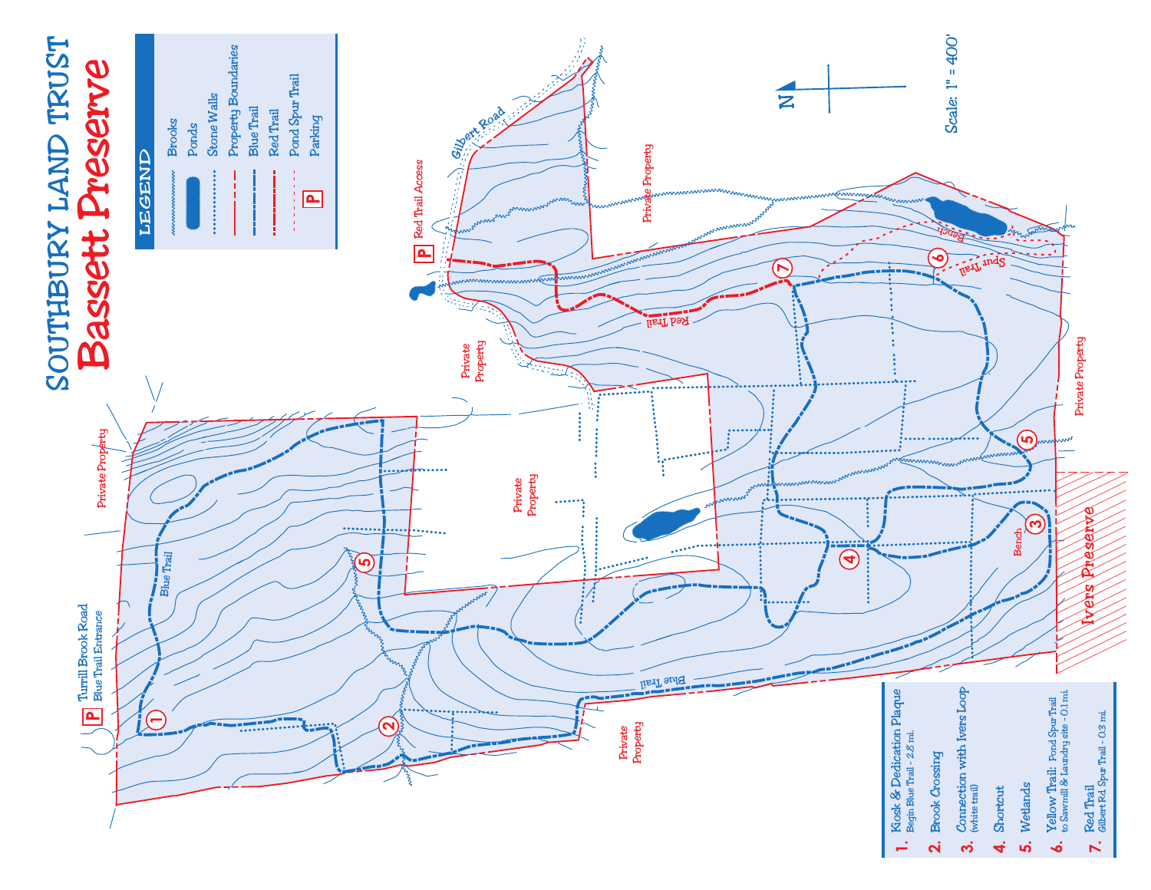